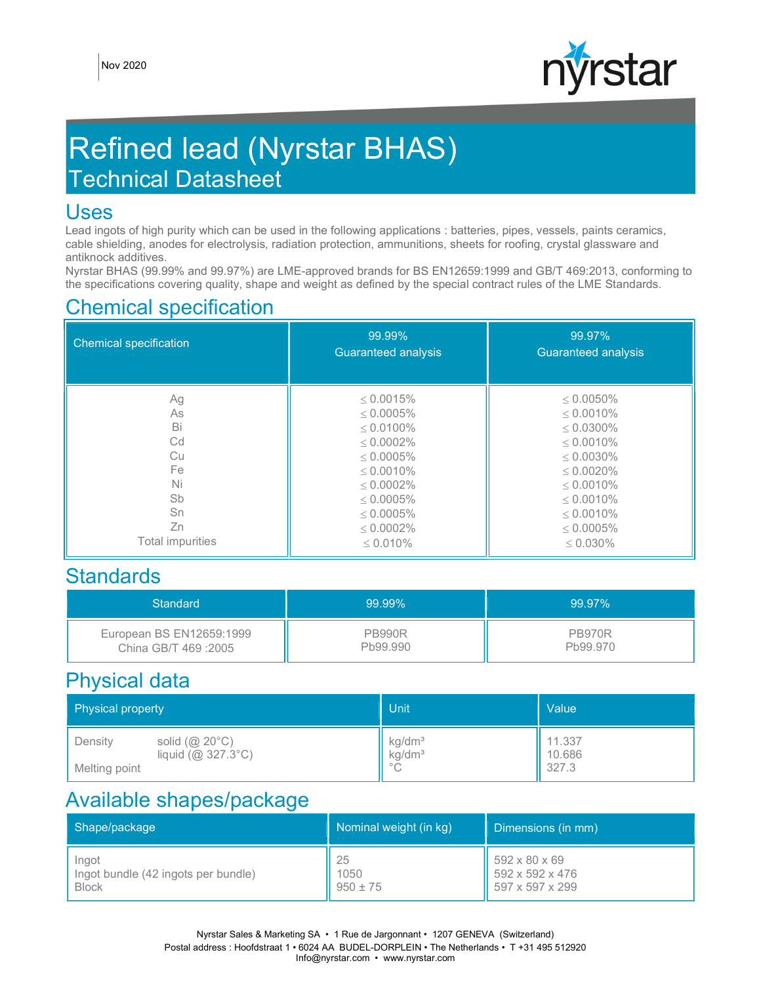

# Refined lead (Nyrstar BHAS) Technical Datasheet

#### Uses

Lead ingots of high purity which can be used in the following applications : batteries, pipes, vessels, paints ceramics, cable shielding, anodes for electrolysis, radiation protection, ammunitions, sheets for roofing, crystal glassware and antiknock additives.

Nyrstar BHAS (99.99% and 99.97%) are LME-approved brands for BS EN12659:1999 and GB/T 469:2013, conforming to the specifications covering quality, shape and weight as defined by the special contract rules of the LME Standards.

### Chemical specification

| <b>Chemical specification</b> | 99.99%<br><b>Guaranteed analysis</b> | 99.97%<br><b>Guaranteed analysis</b> |
|-------------------------------|--------------------------------------|--------------------------------------|
| Ag                            | $\leq 0.0015\%$                      | $\leq 0.0050\%$                      |
| As                            | $< 0.0005\%$                         | $< 0.0010\%$                         |
| Bi                            | $< 0.0100\%$                         | $< 0.0300\%$                         |
| Cd                            | $\leq 0.0002\%$                      | $\leq 0.0010\%$                      |
| Cu                            | $\leq 0.0005\%$                      | $\leq 0.0030\%$                      |
| Fe                            | $\leq 0.0010\%$                      | $< 0.0020\%$                         |
| Ni                            | $< 0.0002\%$                         | $< 0.0010\%$                         |
| Sb                            | $\leq 0.0005\%$                      | $\leq 0.0010\%$                      |
| Sn                            | $\leq 0.0005\%$                      | $\leq 0.0010\%$                      |
| Zn                            | $< 0.0002\%$                         | $< 0.0005\%$                         |
| Total impurities              | $\leq 0.010\%$                       | $\leq 0.030\%$                       |

#### **Standards**

| Standard                 | 99.99%        | 99.97%        |
|--------------------------|---------------|---------------|
| European BS EN12659:1999 | <b>PB990R</b> | <b>PB970R</b> |
| China GB/T 469:2005      | Pb99.990      | Pb99.970      |

### Physical data

| Physical property                                                                               | Unit                                                                 | Value                     |
|-------------------------------------------------------------------------------------------------|----------------------------------------------------------------------|---------------------------|
| solid $(\textcircled{a} 20^{\circ} \text{C})$<br>Density<br>liquid (@ 327.3°C)<br>Melting point | kg/dm <sup>3</sup><br>kg/dm <sup>3</sup><br>$\circ$ $\cap$<br>$\cup$ | 11.337<br>10.686<br>327.3 |

### Available shapes/package

| Shape/package                       | Nominal weight (in kg) | Dimensions (in mm)                  |
|-------------------------------------|------------------------|-------------------------------------|
| Ingot                               | 25                     | $\frac{1}{592} \times 80 \times 69$ |
| Ingot bundle (42 ingots per bundle) | 1050                   | $\parallel$ 592 x 592 x 476         |
| <b>Block</b>                        | $950 \pm 75$           | $\parallel$ 597 x 597 x 299         |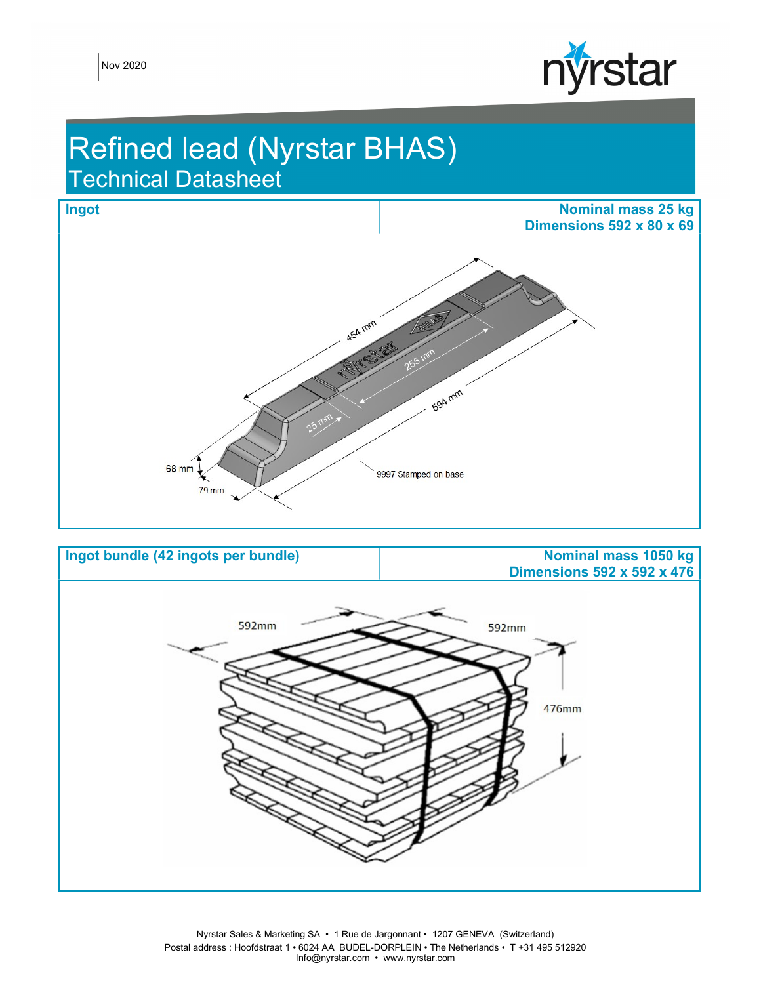

## Refined lead (Nyrstar BHAS) Technical Datasheet